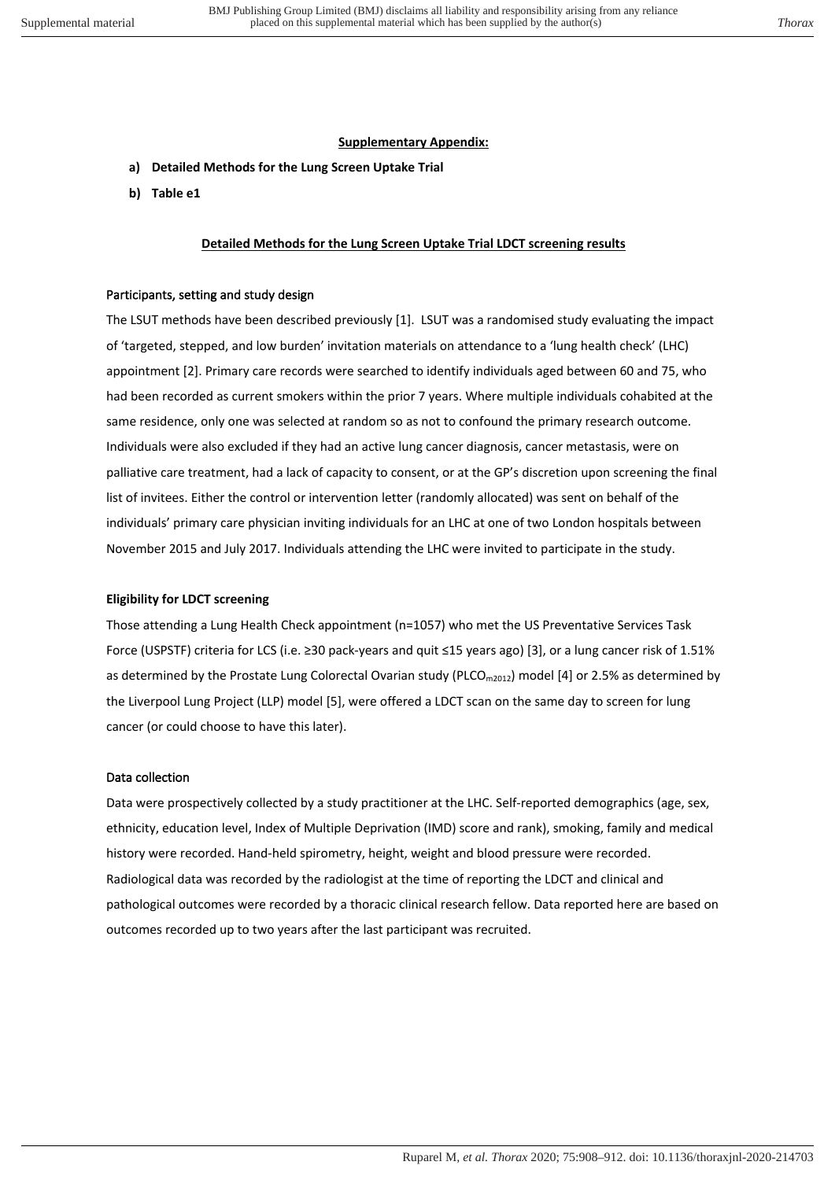# **Supplementary Appendix:**

- **a) Detailed Methods for the Lung Screen Uptake Trial**
- **b) Table e1**

## **Detailed Methods for the Lung Screen Uptake Trial LDCT screening results**

#### Participants, setting and study design

The LSUT methods have been described previously [1]. LSUT was a randomised study evaluating the impact of 'targeted, stepped, and low burden' invitation materials on attendance to a 'lung health check' (LHC) appointment [2]. Primary care records were searched to identify individuals aged between 60 and 75, who had been recorded as current smokers within the prior 7 years. Where multiple individuals cohabited at the same residence, only one was selected at random so as not to confound the primary research outcome. Individuals were also excluded if they had an active lung cancer diagnosis, cancer metastasis, were on palliative care treatment, had a lack of capacity to consent, or at the GP's discretion upon screening the final list of invitees. Either the control or intervention letter (randomly allocated) was sent on behalf of the individuals' primary care physician inviting individuals for an LHC at one of two London hospitals between November 2015 and July 2017. Individuals attending the LHC were invited to participate in the study.

### **Eligibility for LDCT screening**

Those attending a Lung Health Check appointment (n=1057) who met the US Preventative Services Task Force (USPSTF) criteria for LCS (i.e. ≥30 pack-years and quit ≤15 years ago) [3], or a lung cancer risk of 1.51% as determined by the Prostate Lung Colorectal Ovarian study ( $PLCO_{m2012}$ ) model [4] or 2.5% as determined by the Liverpool Lung Project (LLP) model [5], were offered a LDCT scan on the same day to screen for lung cancer (or could choose to have this later).

#### Data collection

Data were prospectively collected by a study practitioner at the LHC. Self-reported demographics (age, sex, ethnicity, education level, Index of Multiple Deprivation (IMD) score and rank), smoking, family and medical history were recorded. Hand-held spirometry, height, weight and blood pressure were recorded. Radiological data was recorded by the radiologist at the time of reporting the LDCT and clinical and pathological outcomes were recorded by a thoracic clinical research fellow. Data reported here are based on outcomes recorded up to two years after the last participant was recruited.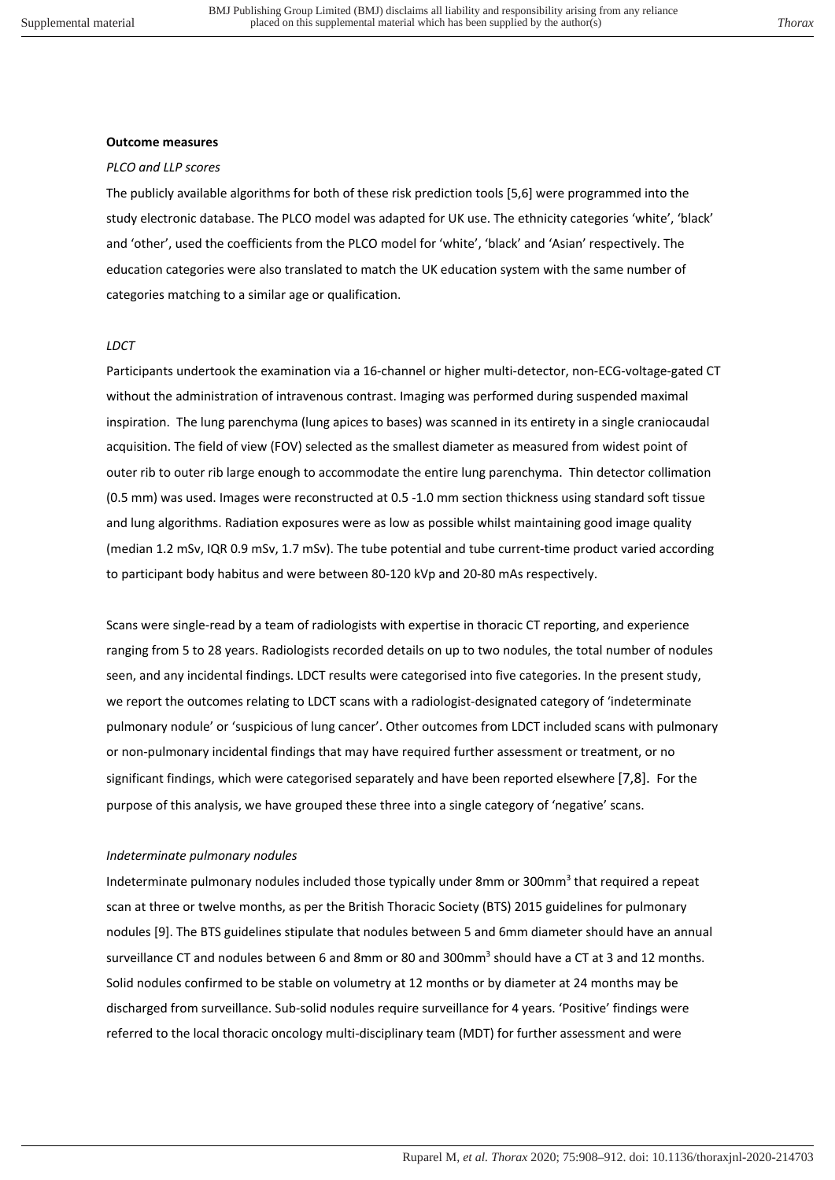#### **Outcome measures**

#### *PLCO and LLP scores*

The publicly available algorithms for both of these risk prediction tools [5,6] were programmed into the study electronic database. The PLCO model was adapted for UK use. The ethnicity categories 'white', 'black' and 'other', used the coefficients from the PLCO model for 'white', 'black' and 'Asian' respectively. The education categories were also translated to match the UK education system with the same number of categories matching to a similar age or qualification.

#### *LDCT*

Participants undertook the examination via a 16-channel or higher multi-detector, non-ECG-voltage-gated CT without the administration of intravenous contrast. Imaging was performed during suspended maximal inspiration. The lung parenchyma (lung apices to bases) was scanned in its entirety in a single craniocaudal acquisition. The field of view (FOV) selected as the smallest diameter as measured from widest point of outer rib to outer rib large enough to accommodate the entire lung parenchyma. Thin detector collimation (0.5 mm) was used. Images were reconstructed at 0.5 -1.0 mm section thickness using standard soft tissue and lung algorithms. Radiation exposures were as low as possible whilst maintaining good image quality (median 1.2 mSv, IQR 0.9 mSv, 1.7 mSv). The tube potential and tube current-time product varied according to participant body habitus and were between 80-120 kVp and 20-80 mAs respectively.

Scans were single-read by a team of radiologists with expertise in thoracic CT reporting, and experience ranging from 5 to 28 years. Radiologists recorded details on up to two nodules, the total number of nodules seen, and any incidental findings. LDCT results were categorised into five categories. In the present study, we report the outcomes relating to LDCT scans with a radiologist-designated category of 'indeterminate pulmonary nodule' or 'suspicious of lung cancer'. Other outcomes from LDCT included scans with pulmonary or non-pulmonary incidental findings that may have required further assessment or treatment, or no significant findings, which were categorised separately and have been reported elsewhere [7,8]. For the purpose of this analysis, we have grouped these three into a single category of 'negative' scans.

#### *Indeterminate pulmonary nodules*

Indeterminate pulmonary nodules included those typically under 8mm or 300mm<sup>3</sup> that required a repeat scan at three or twelve months, as per the British Thoracic Society (BTS) 2015 guidelines for pulmonary nodules [9]. The BTS guidelines stipulate that nodules between 5 and 6mm diameter should have an annual surveillance CT and nodules between 6 and 8mm or 80 and 300mm<sup>3</sup> should have a CT at 3 and 12 months. Solid nodules confirmed to be stable on volumetry at 12 months or by diameter at 24 months may be discharged from surveillance. Sub-solid nodules require surveillance for 4 years. 'Positive' findings were referred to the local thoracic oncology multi-disciplinary team (MDT) for further assessment and were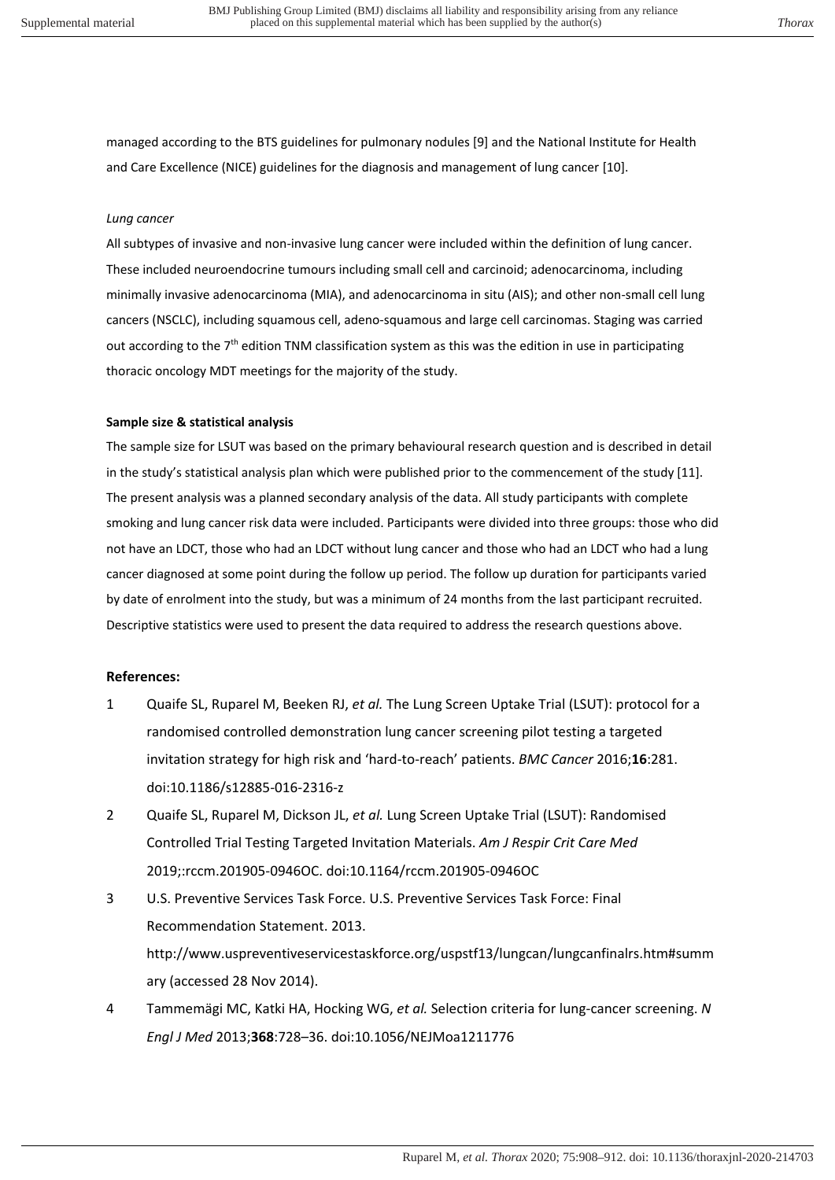managed according to the BTS guidelines for pulmonary nodules [9] and the National Institute for Health and Care Excellence (NICE) guidelines for the diagnosis and management of lung cancer [10].

## *Lung cancer*

All subtypes of invasive and non-invasive lung cancer were included within the definition of lung cancer. These included neuroendocrine tumours including small cell and carcinoid; adenocarcinoma, including minimally invasive adenocarcinoma (MIA), and adenocarcinoma in situ (AIS); and other non-small cell lung cancers (NSCLC), including squamous cell, adeno-squamous and large cell carcinomas. Staging was carried out according to the 7<sup>th</sup> edition TNM classification system as this was the edition in use in participating thoracic oncology MDT meetings for the majority of the study.

### **Sample size & statistical analysis**

The sample size for LSUT was based on the primary behavioural research question and is described in detail in the study's statistical analysis plan which were published prior to the commencement of the study [11]. The present analysis was a planned secondary analysis of the data. All study participants with complete smoking and lung cancer risk data were included. Participants were divided into three groups: those who did not have an LDCT, those who had an LDCT without lung cancer and those who had an LDCT who had a lung cancer diagnosed at some point during the follow up period. The follow up duration for participants varied by date of enrolment into the study, but was a minimum of 24 months from the last participant recruited. Descriptive statistics were used to present the data required to address the research questions above.

# **References:**

- 1 Quaife SL, Ruparel M, Beeken RJ, *et al.* The Lung Screen Uptake Trial (LSUT): protocol for a randomised controlled demonstration lung cancer screening pilot testing a targeted invitation strategy for high risk and 'hard-to-reach' patients. *BMC Cancer* 2016;**16**:281. doi:10.1186/s12885-016-2316-z
- 2 Quaife SL, Ruparel M, Dickson JL, *et al.* Lung Screen Uptake Trial (LSUT): Randomised Controlled Trial Testing Targeted Invitation Materials. *Am J Respir Crit Care Med* 2019;:rccm.201905-0946OC. doi:10.1164/rccm.201905-0946OC
- 3 U.S. Preventive Services Task Force. U.S. Preventive Services Task Force: Final Recommendation Statement. 2013. http://www.uspreventiveservicestaskforce.org/uspstf13/lungcan/lungcanfinalrs.htm#summ ary (accessed 28 Nov 2014).
- 4 Tammemägi MC, Katki HA, Hocking WG, *et al.* Selection criteria for lung-cancer screening. *N Engl J Med* 2013;**368**:728–36. doi:10.1056/NEJMoa1211776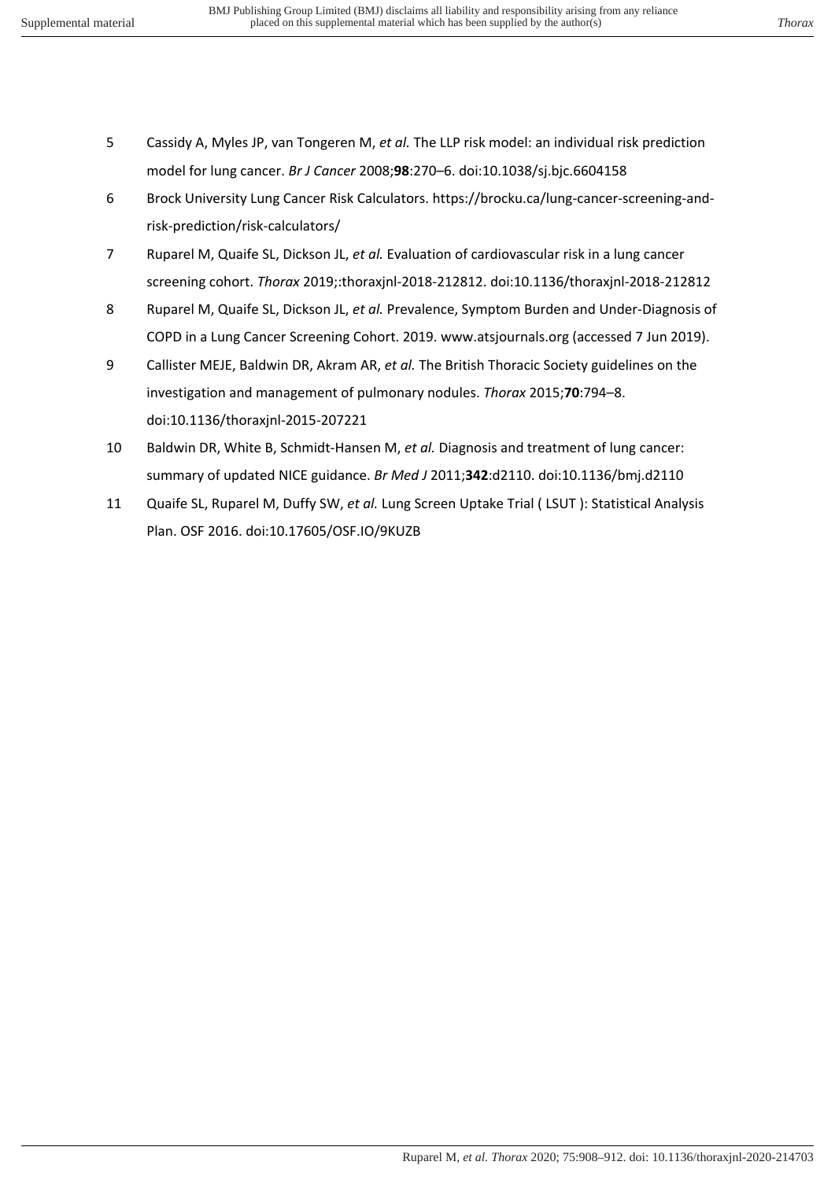- 5 Cassidy A, Myles JP, van Tongeren M, *et al.* The LLP risk model: an individual risk prediction model for lung cancer. *Br J Cancer* 2008;**98**:270–6. doi:10.1038/sj.bjc.6604158
- 6 Brock University Lung Cancer Risk Calculators. https://brocku.ca/lung-cancer-screening-andrisk-prediction/risk-calculators/
- 7 Ruparel M, Quaife SL, Dickson JL, *et al.* Evaluation of cardiovascular risk in a lung cancer screening cohort. *Thorax* 2019;:thoraxjnl-2018-212812. doi:10.1136/thoraxjnl-2018-212812
- 8 Ruparel M, Quaife SL, Dickson JL, *et al.* Prevalence, Symptom Burden and Under-Diagnosis of COPD in a Lung Cancer Screening Cohort. 2019. www.atsjournals.org (accessed 7 Jun 2019).
- 9 Callister MEJE, Baldwin DR, Akram AR, *et al.* The British Thoracic Society guidelines on the investigation and management of pulmonary nodules. *Thorax* 2015;**70**:794–8. doi:10.1136/thoraxjnl-2015-207221
- 10 Baldwin DR, White B, Schmidt-Hansen M, *et al.* Diagnosis and treatment of lung cancer: summary of updated NICE guidance. *Br Med J* 2011;**342**:d2110. doi:10.1136/bmj.d2110
- 11 Quaife SL, Ruparel M, Duffy SW, *et al.* Lung Screen Uptake Trial ( LSUT ): Statistical Analysis Plan. OSF 2016. doi:10.17605/OSF.IO/9KUZB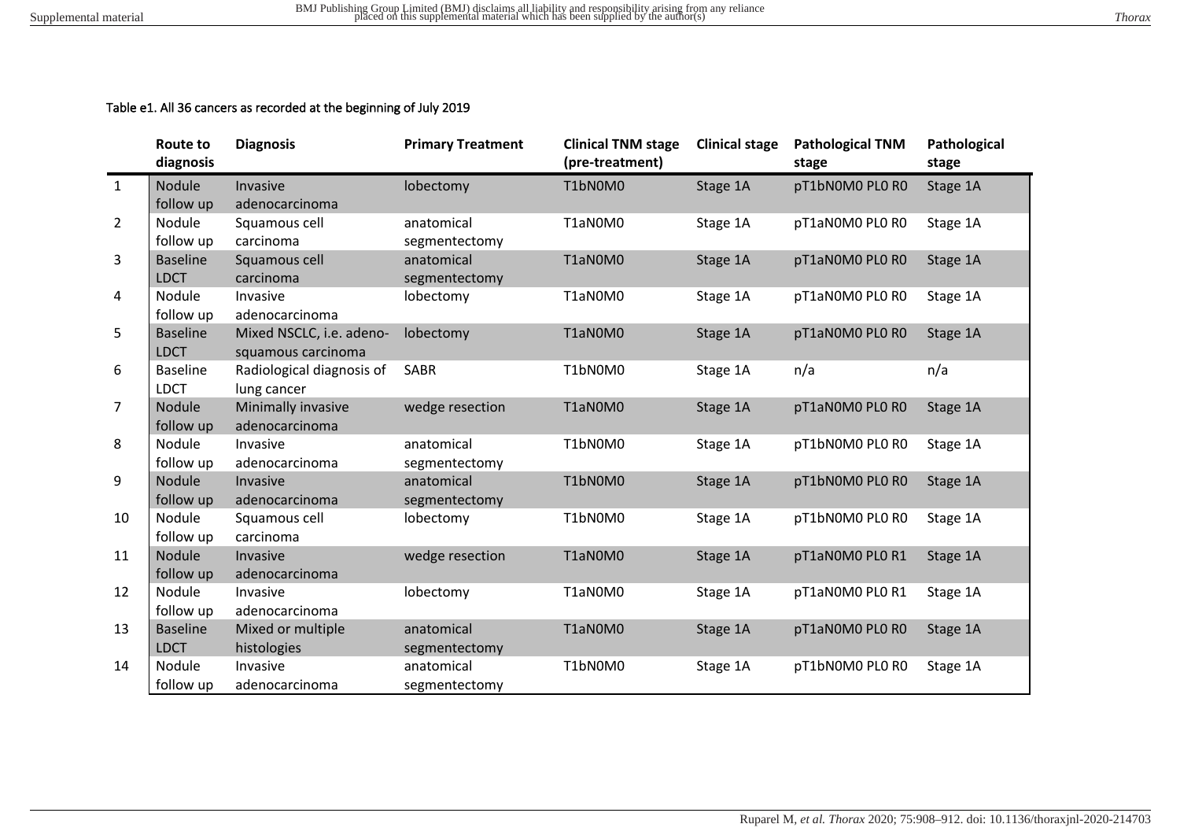# Table e1. All 36 cancers as recorded at the beginning of July 2019

|                | Route to<br>diagnosis | <b>Diagnosis</b>          | <b>Primary Treatment</b> | <b>Clinical TNM stage</b><br>(pre-treatment) | <b>Clinical stage</b> | <b>Pathological TNM</b><br>stage | Pathological<br>stage |
|----------------|-----------------------|---------------------------|--------------------------|----------------------------------------------|-----------------------|----------------------------------|-----------------------|
| $\mathbf{1}$   | Nodule                | Invasive                  | lobectomy                | T1bN0M0                                      | Stage 1A              | pT1bN0M0 PL0 R0                  | Stage 1A              |
|                | follow up             | adenocarcinoma            |                          |                                              |                       |                                  |                       |
| $\overline{2}$ | Nodule                | Squamous cell             | anatomical               | T1aN0M0                                      | Stage 1A              | pT1aN0M0 PL0 R0                  | Stage 1A              |
|                | follow up             | carcinoma                 | segmentectomy            |                                              |                       |                                  |                       |
| 3              | <b>Baseline</b>       | Squamous cell             | anatomical               | T1aN0M0                                      | Stage 1A              | pT1aN0M0 PL0 R0                  | Stage 1A              |
|                | <b>LDCT</b>           | carcinoma                 | segmentectomy            |                                              |                       |                                  |                       |
| 4              | Nodule                | Invasive                  | lobectomy                | T1aN0M0                                      | Stage 1A              | pT1aN0M0 PL0 R0                  | Stage 1A              |
|                | follow up             | adenocarcinoma            |                          |                                              |                       |                                  |                       |
| 5              | <b>Baseline</b>       | Mixed NSCLC, i.e. adeno-  | lobectomy                | T1aN0M0                                      | Stage 1A              | pT1aN0M0 PL0 R0                  | Stage 1A              |
|                | <b>LDCT</b>           | squamous carcinoma        |                          |                                              |                       |                                  |                       |
| 6              | <b>Baseline</b>       | Radiological diagnosis of | SABR                     | T1bN0M0                                      | Stage 1A              | n/a                              | n/a                   |
|                | <b>LDCT</b>           | lung cancer               |                          |                                              |                       |                                  |                       |
| $\overline{7}$ | Nodule                | Minimally invasive        | wedge resection          | T1aN0M0                                      | Stage 1A              | pT1aN0M0 PL0 R0                  | Stage 1A              |
|                | follow up             | adenocarcinoma            |                          |                                              |                       |                                  |                       |
| 8              | Nodule                | Invasive                  | anatomical               | T1bN0M0                                      | Stage 1A              | pT1bN0M0 PL0 R0                  | Stage 1A              |
|                | follow up             | adenocarcinoma            | segmentectomy            |                                              |                       |                                  |                       |
| 9              | Nodule                | Invasive                  | anatomical               | T1bN0M0                                      | Stage 1A              | pT1bN0M0 PL0 R0                  | Stage 1A              |
|                | follow up             | adenocarcinoma            | segmentectomy            |                                              |                       |                                  |                       |
| 10             | Nodule                | Squamous cell             | lobectomy                | T1bN0M0                                      | Stage 1A              | pT1bN0M0 PL0 R0                  | Stage 1A              |
|                | follow up             | carcinoma                 |                          |                                              |                       |                                  |                       |
| 11             | Nodule                | Invasive                  | wedge resection          | T1aN0M0                                      | Stage 1A              | pT1aN0M0 PL0 R1                  | Stage 1A              |
|                | follow up             | adenocarcinoma            |                          |                                              |                       |                                  |                       |
| 12             | Nodule                | Invasive                  | lobectomy                | T1aN0M0                                      | Stage 1A              | pT1aN0M0 PL0 R1                  | Stage 1A              |
|                | follow up             | adenocarcinoma            |                          |                                              |                       |                                  |                       |
| 13             | <b>Baseline</b>       | Mixed or multiple         | anatomical               | T1aN0M0                                      | Stage 1A              | pT1aN0M0 PL0 R0                  | Stage 1A              |
|                | <b>LDCT</b>           | histologies               | segmentectomy            |                                              |                       |                                  |                       |
| 14             | Nodule                | Invasive                  | anatomical               | T1bN0M0                                      | Stage 1A              | pT1bN0M0 PL0 R0                  | Stage 1A              |
|                | follow up             | adenocarcinoma            | segmentectomy            |                                              |                       |                                  |                       |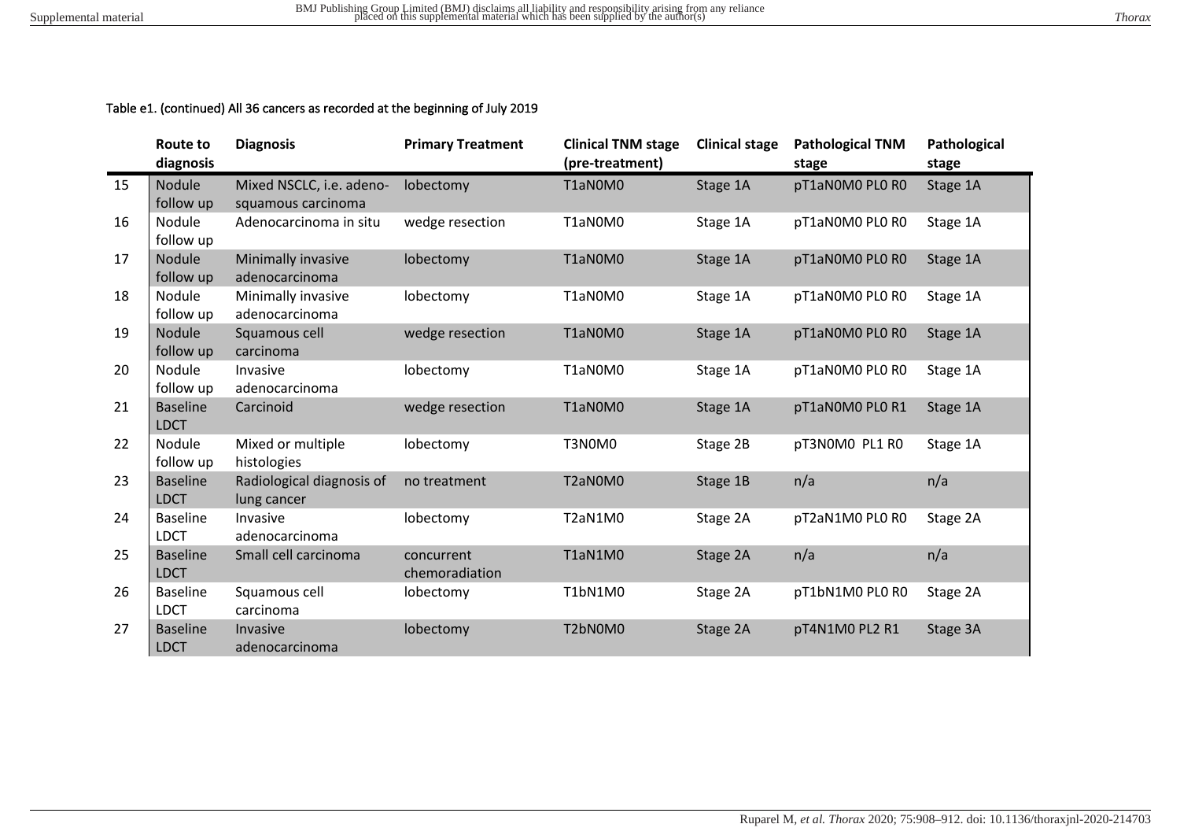# Table e1. (continued) All 36 cancers as recorded at the beginning of July 2019

|    | Route to<br>diagnosis          | <b>Diagnosis</b>                         | <b>Primary Treatment</b>     | <b>Clinical TNM stage</b><br>(pre-treatment) | <b>Clinical stage</b> | <b>Pathological TNM</b><br>stage | Pathological<br>stage |
|----|--------------------------------|------------------------------------------|------------------------------|----------------------------------------------|-----------------------|----------------------------------|-----------------------|
| 15 | Nodule                         | Mixed NSCLC, i.e. adeno-                 | lobectomy                    | T1aN0M0                                      | Stage 1A              | pT1aN0M0 PL0 R0                  | Stage 1A              |
|    | follow up                      | squamous carcinoma                       |                              |                                              |                       |                                  |                       |
| 16 | Nodule<br>follow up            | Adenocarcinoma in situ                   | wedge resection              | T1aN0M0                                      | Stage 1A              | pT1aN0M0 PL0 R0                  | Stage 1A              |
| 17 | <b>Nodule</b><br>follow up     | Minimally invasive<br>adenocarcinoma     | lobectomy                    | T1aN0M0                                      | Stage 1A              | pT1aN0M0 PL0 R0                  | Stage 1A              |
| 18 | Nodule<br>follow up            | Minimally invasive<br>adenocarcinoma     | lobectomy                    | T1aN0M0                                      | Stage 1A              | pT1aN0M0 PL0 R0                  | Stage 1A              |
| 19 | Nodule<br>follow up            | Squamous cell<br>carcinoma               | wedge resection              | T1aN0M0                                      | Stage 1A              | pT1aN0M0 PL0 R0                  | Stage 1A              |
| 20 | Nodule<br>follow up            | Invasive<br>adenocarcinoma               | lobectomy                    | T1aN0M0                                      | Stage 1A              | pT1aN0M0 PL0 R0                  | Stage 1A              |
| 21 | <b>Baseline</b><br><b>LDCT</b> | Carcinoid                                | wedge resection              | T1aN0M0                                      | Stage 1A              | pT1aN0M0 PL0 R1                  | Stage 1A              |
| 22 | Nodule<br>follow up            | Mixed or multiple<br>histologies         | lobectomy                    | T3N0M0                                       | Stage 2B              | pT3N0M0 PL1 R0                   | Stage 1A              |
| 23 | <b>Baseline</b><br><b>LDCT</b> | Radiological diagnosis of<br>lung cancer | no treatment                 | T2aN0M0                                      | Stage 1B              | n/a                              | n/a                   |
| 24 | <b>Baseline</b><br><b>LDCT</b> | Invasive<br>adenocarcinoma               | lobectomy                    | T2aN1M0                                      | Stage 2A              | pT2aN1M0 PL0 R0                  | Stage 2A              |
| 25 | <b>Baseline</b><br><b>LDCT</b> | Small cell carcinoma                     | concurrent<br>chemoradiation | T1aN1M0                                      | Stage 2A              | n/a                              | n/a                   |
| 26 | <b>Baseline</b><br><b>LDCT</b> | Squamous cell<br>carcinoma               | lobectomy                    | T1bN1M0                                      | Stage 2A              | pT1bN1M0 PL0 R0                  | Stage 2A              |
| 27 | <b>Baseline</b><br><b>LDCT</b> | Invasive<br>adenocarcinoma               | lobectomy                    | T2bN0M0                                      | Stage 2A              | pT4N1M0 PL2 R1                   | Stage 3A              |